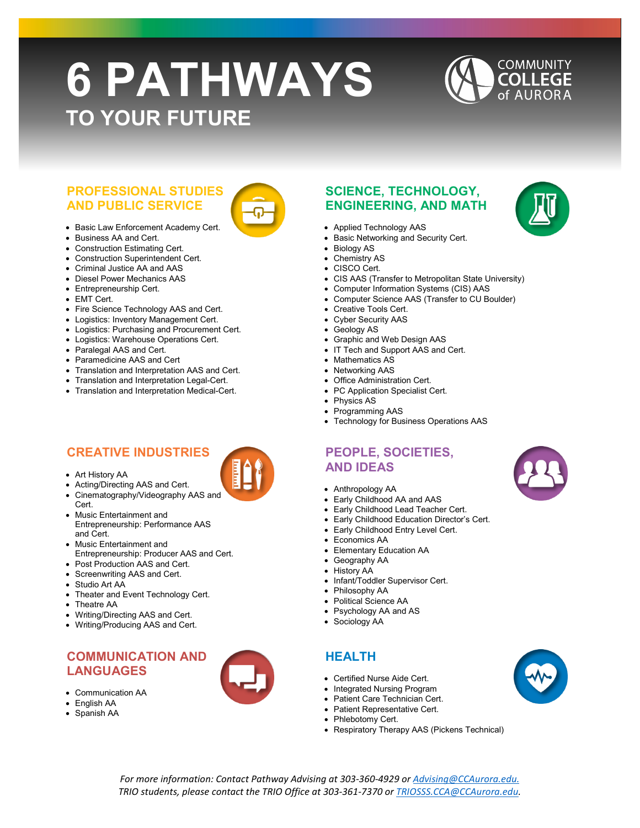# **6 PATHWAYS TO YOUR FUTURE**

# **COMMUNITY COLLEGE** of AURORA

#### **PROFESSIONAL STUDIES AND PUBLIC SERVICE**

- Basic Law Enforcement Academy Cert.
- Business AA and Cert.
- Construction Estimating Cert.
- Construction Superintendent Cert.
- Criminal Justice AA and AAS
- Diesel Power Mechanics AAS
- Entrepreneurship Cert.
- EMT Cert.
- Fire Science Technology AAS and Cert.
- Logistics: Inventory Management Cert.
- Logistics: Purchasing and Procurement Cert.
- Logistics: Warehouse Operations Cert.
- Paralegal AAS and Cert.
- Paramedicine AAS and Cert
- Translation and Interpretation AAS and Cert.
- Translation and Interpretation Legal-Cert.
- Translation and Interpretation Medical-Cert.

### **CREATIVE INDUSTRIES**

- Art History AA
- Acting/Directing AAS and Cert.
- Cinematography/Videography AAS and
- Cert. • Music Entertainment and Entrepreneurship: Performance AAS and Cert.
- Music Entertainment and Entrepreneurship: Producer AAS and Cert.
- Post Production AAS and Cert.
- Screenwriting AAS and Cert.
- Studio Art AA
- Theater and Event Technology Cert.
- Theatre AA
- Writing/Directing AAS and Cert.
- Writing/Producing AAS and Cert.

#### **COMMUNICATION AND LANGUAGES**

- Communication AA
- English AA
- Spanish AA



### **SCIENCE, TECHNOLOGY, ENGINEERING, AND MATH**

- Applied Technology AAS
- Basic Networking and Security Cert.
- **Biology AS**
- Chemistry AS
- CISCO Cert.
	- CIS AAS (Transfer to Metropolitan State University)
- Computer Information Systems (CIS) AAS
- Computer Science AAS (Transfer to CU Boulder)
- Creative Tools Cert.
- Cyber Security AAS
- Geology AS
- Graphic and Web Design AAS
- IT Tech and Support AAS and Cert.
- Mathematics AS
- Networking AAS
- **Office Administration Cert.** 
	- PC Application Specialist Cert.
- Physics AS
- Programming AAS
- Technology for Business Operations AAS

#### **PEOPLE, SOCIETIES, AND IDEAS**

- Anthropology AA
- Early Childhood AA and AAS
- Early Childhood Lead Teacher Cert.
- Early Childhood Education Director's Cert.
- Early Childhood Entry Level Cert.
- Economics AA
- Elementary Education AA
- Geography AA
- History AA
- Infant/Toddler Supervisor Cert.
- Philosophy AA
- Political Science AA
- Psychology AA and AS
- Sociology AA

## **HEALTH**

- Certified Nurse Aide Cert.
- Integrated Nursing Program
- Patient Care Technician Cert.
- Patient Representative Cert.
- Phlebotomy Cert.
- Respiratory Therapy AAS (Pickens Technical)